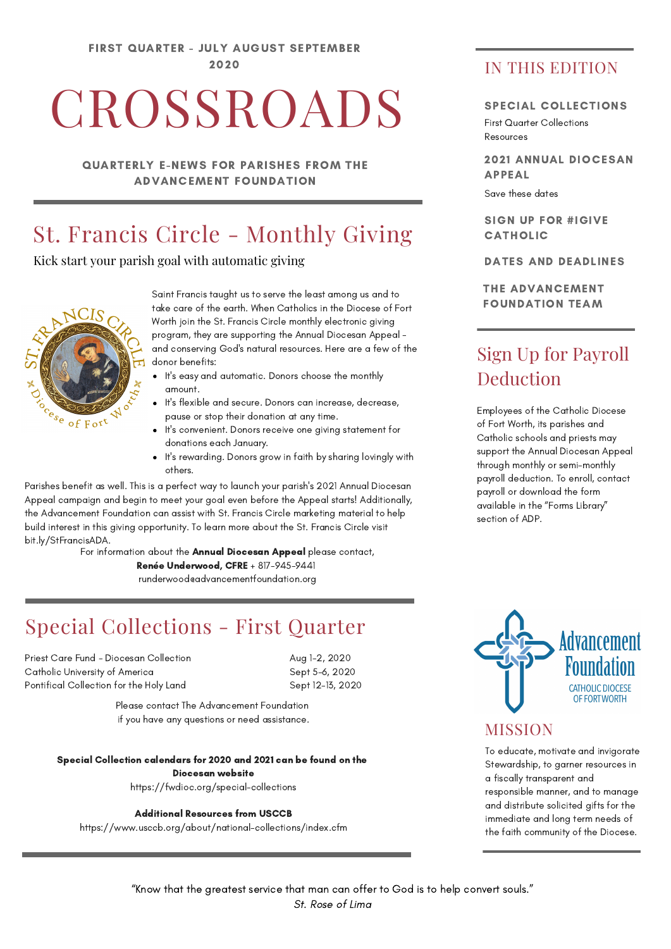FIRST QUARTER - JULY AUGUST SEPTEMBER 2020

# CROSSROADS

QUARTERLY E-NEWS FOR PARISHES FROM THE ADVANCEMENT FOUNDATION

# St. Francis Circle - Monthly Giving

Kick start your parish goal with automatic giving



Saint Francis taught us to serve the least among us and to take care of the earth. When Catholics in the Diocese of Fort Worth join the St. Francis Circle monthly electronic giving program, they are supporting the Annual Diocesan Appeal and conserving God's natural resources. Here are a few of the donor benefits:

- It's easy and automatic. Donors choose the monthly amount.
- It's flexible and secure. Donors can increase, decrease, pause or stop their donation at any time.
- It's convenient. Donors receive one giving statement for donations each January.
- It's rewarding. Donors grow in faith by sharing lovingly with others.

Parishes benefit as well. This is a perfect way to launch your parish's 2021 Annual Diocesan Appeal campaign and begin to meet your goal even before the Appeal starts! Additionally, the Advancement Foundation can assist with St. Francis Circle marketing material to help build interest in this giving opportunity. To learn more about the St. Francis Circle visit bit.ly/StFrancisADA.

> For information about the Annual Diocesan Appeal please contact, Renée Underwood, CFRE + 817-945-9441 runderwood@advancementfoundation.org

# Special Collections - First Quarter

Priest Care Fund - Diocesan Collection Catholic University of America Pontifical Collection for the Holy Land

Aug 1-2, 2020 Sept 5-6, 2020 Sept 12-13, 2020

Please contact The Advancement Foundation if you have any questions or need assistance.

#### Special Collection calendars for 2020 and 2021 can be found on the Diocesan website

https://fwdioc.org/special-collections

Additional Resources from USCCB

https://www.usccb.org/about/national-collections/index.cfm

### IN THIS EDITION

#### SPECIAL COLLECTIONS

First Quarter Collections Resources

2021 ANNUAL DIOCESAN APPEAL

Save these dates

SIGN UP FOR #IGIVE CATHOLIC

DATES AND DEADLINES

THE ADVANCEMENT FOUNDATION TEAM

## Sign Up for Payroll Deduction

Employees of the Catholic Diocese of Fort Worth, its parishes and Catholic schools and priests may support the Annual Diocesan Appeal through monthly or semi-monthly payroll deduction. To enroll, contact payroll or download the form available in the "Forms Library" section of ADP.



#### MISSION

To educate, motivate and invigorate Stewardship, to garner resources in a fiscally transparent and responsible manner, and to manage and distribute solicited gifts for the immediate and long term needs of the faith community of the Diocese.

"Know that the greatest service that man can offer to God is to help convert souls." St. Rose of Lima